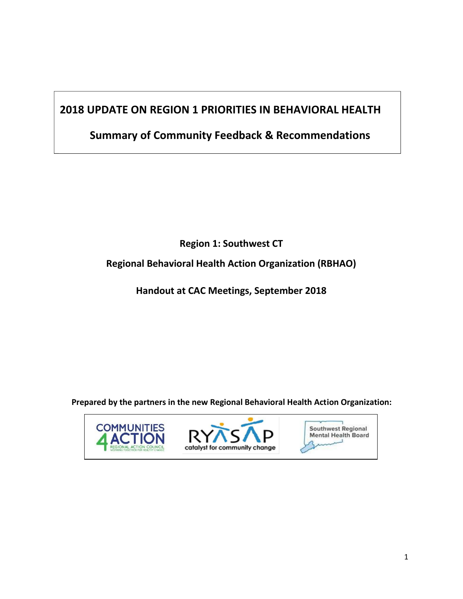# **2018 UPDATE ON REGION 1 PRIORITIES IN BEHAVIORAL HEALTH**

# **Summary of Community Feedback & Recommendations**

**Region 1: Southwest CT**

**Regional Behavioral Health Action Organization (RBHAO)** 

**Handout at CAC Meetings, September 2018**

**Prepared by the partners in the new Regional Behavioral Health Action Organization:**





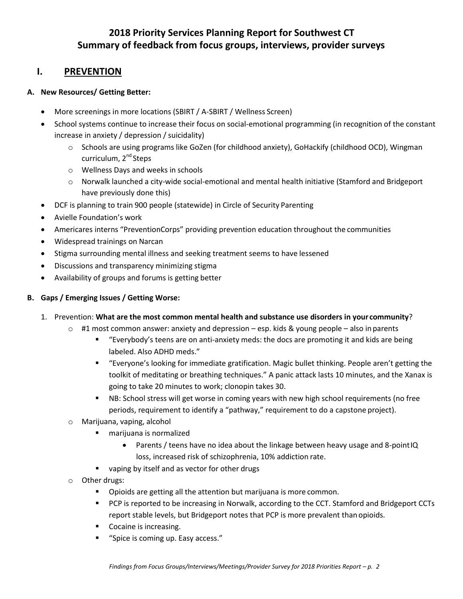## **2018 Priority Services Planning Report for Southwest CT Summary of feedback from focus groups, interviews, provider surveys**

### **I. PREVENTION**

#### **A. New Resources/ Getting Better:**

- More screenings in more locations (SBIRT / A-SBIRT / Wellness Screen)
- School systems continue to increase their focus on social-emotional programming (in recognition of the constant increase in anxiety / depression / suicidality)
	- o Schools are using programs like GoZen (for childhood anxiety), GoHackify (childhood OCD), Wingman curriculum, 2<sup>nd</sup> Steps
	- o Wellness Days and weeks in schools
	- $\circ$  Norwalk launched a city-wide social-emotional and mental health initiative (Stamford and Bridgeport have previously done this)
- DCF is planning to train 900 people (statewide) in Circle of Security Parenting
- Avielle Foundation's work
- Americares interns "PreventionCorps" providing prevention education throughout the communities
- Widespread trainings on Narcan
- Stigma surrounding mental illness and seeking treatment seems to have lessened
- Discussions and transparency minimizing stigma
- Availability of groups and forums is getting better

#### **B. Gaps / Emerging Issues / Getting Worse:**

#### 1. Prevention: **What are the most common mental health and substance use disorders in your community**?

- $\circ$  #1 most common answer: anxiety and depression esp. kids & young people also in parents
	- "Everybody's teens are on anti-anxiety meds: the docs are promoting it and kids are being labeled. Also ADHD meds."
	- "Everyone's looking for immediate gratification. Magic bullet thinking. People aren't getting the toolkit of meditating or breathing techniques." A panic attack lasts 10 minutes, and the Xanax is going to take 20 minutes to work; clonopin takes 30.
	- NB: School stress will get worse in coming years with new high school requirements (no free periods, requirement to identify a "pathway," requirement to do a capstone project).
- o Marijuana, vaping, alcohol
	- marijuana is normalized
		- Parents / teens have no idea about the linkage between heavy usage and 8-pointIQ loss, increased risk of schizophrenia, 10% addiction rate.
	- **vaping by itself and as vector for other drugs**
- o Other drugs:
	- **•** Opioids are getting all the attention but marijuana is more common.
	- **PCP** is reported to be increasing in Norwalk, according to the CCT. Stamford and Bridgeport CCTs report stable levels, but Bridgeport notes that PCP is more prevalent than opioids.
	- **Cocaine is increasing.**
	- "Spice is coming up. Easy access."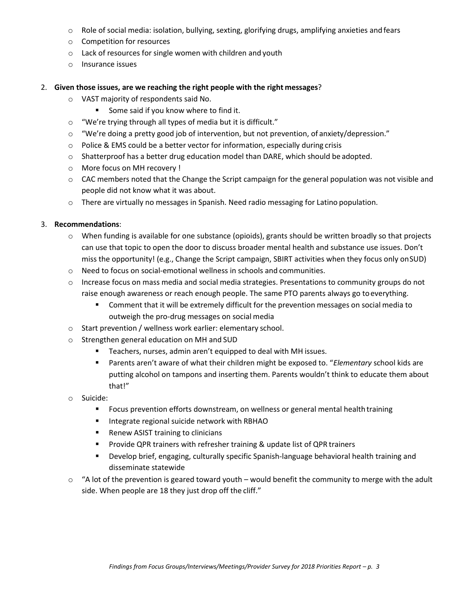- $\circ$  Role of social media: isolation, bullying, sexting, glorifying drugs, amplifying anxieties and fears
- o Competition for resources
- o Lack of resources for single women with children and youth
- o Insurance issues
- 2. **Given those issues, are we reaching the right people with the right messages**?
	- o VAST majority of respondents said No.
		- Some said if you know where to find it.
	- o "We're trying through all types of media but it is difficult."
	- $\circ$  "We're doing a pretty good job of intervention, but not prevention, of anxiety/depression."
	- o Police & EMS could be a better vector for information, especially during crisis
	- $\circ$  Shatterproof has a better drug education model than DARE, which should be adopted.
	- o More focus on MH recovery !
	- $\circ$  CAC members noted that the Change the Script campaign for the general population was not visible and people did not know what it was about.
	- $\circ$  There are virtually no messages in Spanish. Need radio messaging for Latino population.

#### 3. **Recommendations**:

- o When funding is available for one substance (opioids), grants should be written broadly so that projects can use that topic to open the door to discuss broader mental health and substance use issues. Don't miss the opportunity! (e.g., Change the Script campaign, SBIRT activities when they focus only onSUD)
- o Need to focus on social-emotional wellness in schools and communities.
- o Increase focus on mass media and social media strategies. Presentations to community groups do not raise enough awareness or reach enough people. The same PTO parents always go toeverything.
	- Comment that it will be extremely difficult for the prevention messages on social media to outweigh the pro-drug messages on social media
- o Start prevention / wellness work earlier: elementary school.
- o Strengthen general education on MH and SUD
	- **Teachers, nurses, admin aren't equipped to deal with MH issues.**
	- Parents aren't aware of what their children might be exposed to. "*Elementary* school kids are putting alcohol on tampons and inserting them. Parents wouldn't think to educate them about that!"
- o Suicide:
	- Focus prevention efforts downstream, on wellness or general mental health training
	- **If** Integrate regional suicide network with RBHAO
	- Renew ASIST training to clinicians
	- **Provide QPR trainers with refresher training & update list of QPR trainers**
	- Develop brief, engaging, culturally specific Spanish-language behavioral health training and disseminate statewide
- $\circ$  "A lot of the prevention is geared toward youth would benefit the community to merge with the adult side. When people are 18 they just drop off the cliff."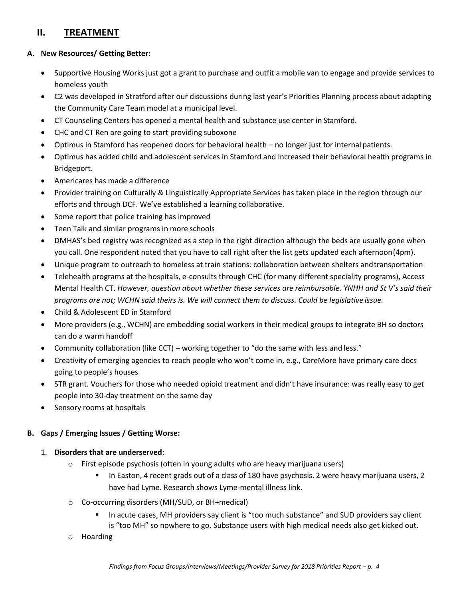## **II. TREATMENT**

#### **A. New Resources/ Getting Better:**

- Supportive Housing Works just got a grant to purchase and outfit a mobile van to engage and provide services to homeless youth
- C2 was developed in Stratford after our discussions during last year's Priorities Planning process about adapting the Community Care Team model at a municipal level.
- CT Counseling Centers has opened a mental health and substance use center in Stamford.
- CHC and CT Ren are going to start providing suboxone
- Optimus in Stamford has reopened doors for behavioral health no longer just for internal patients.
- Optimus has added child and adolescent services in Stamford and increased their behavioral health programs in Bridgeport.
- Americares has made a difference
- Provider training on Culturally & Linguistically Appropriate Services has taken place in the region through our efforts and through DCF. We've established a learning collaborative.
- Some report that police training has improved
- **•** Teen Talk and similar programs in more schools
- DMHAS's bed registry was recognized as a step in the right direction although the beds are usually gone when you call. One respondent noted that you have to call right after the list gets updated each afternoon(4pm).
- Unique program to outreach to homeless at train stations: collaboration between shelters andtransportation
- Telehealth programs at the hospitals, e-consults through CHC (for many different speciality programs), Access Mental Health CT. *However, question about whether these services are reimbursable. YNHH and St V's said their programs are not; WCHN said theirs is. We will connect them to discuss. Could be legislative issue.*
- Child & Adolescent ED in Stamford
- More providers (e.g., WCHN) are embedding social workers in their medical groups to integrate BH so doctors can do a warm handoff
- Community collaboration (like CCT) working together to "do the same with less and less."
- Creativity of emerging agencies to reach people who won't come in, e.g., CareMore have primary care docs going to people's houses
- STR grant. Vouchers for those who needed opioid treatment and didn't have insurance: was really easy to get people into 30-day treatment on the same day
- Sensory rooms at hospitals

#### **B. Gaps / Emerging Issues / Getting Worse:**

#### 1. **Disorders that are underserved**:

- o First episode psychosis (often in young adults who are heavy marijuana users)
	- In Easton, 4 recent grads out of a class of 180 have psychosis. 2 were heavy marijuana users, 2 have had Lyme. Research shows Lyme-mental illness link.
- o Co-occurring disorders (MH/SUD, or BH+medical)
	- In acute cases, MH providers say client is "too much substance" and SUD providers say client is "too MH" so nowhere to go. Substance users with high medical needs also get kicked out.
- o Hoarding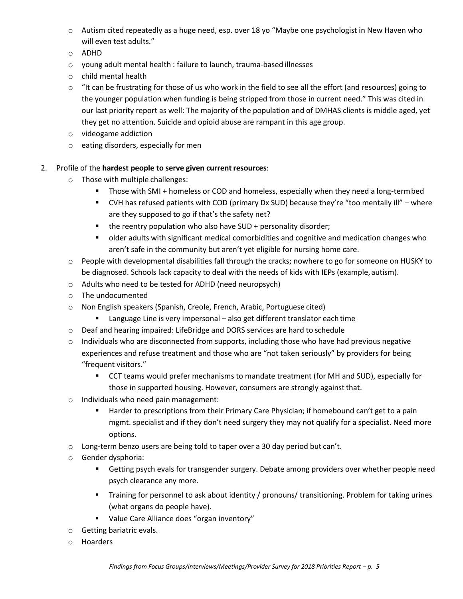- o Autism cited repeatedly as a huge need, esp. over 18 yo "Maybe one psychologist in New Haven who will even test adults."
- o ADHD
- o young adult mental health : failure to launch, trauma-based illnesses
- o child mental health
- $\circ$  "It can be frustrating for those of us who work in the field to see all the effort (and resources) going to the younger population when funding is being stripped from those in current need." This was cited in our last priority report as well: The majority of the population and of DMHAS clients is middle aged, yet they get no attention. Suicide and opioid abuse are rampant in this age group.
- o videogame addiction
- o eating disorders, especially for men
- 2. Profile of the **hardest people to serve given current resources**:
	- o Those with multiple challenges:
		- **Those with SMI + homeless or COD and homeless, especially when they need a long-term bed**
		- CVH has refused patients with COD (primary Dx SUD) because they're "too mentally ill" where are they supposed to go if that's the safety net?
		- $\blacksquare$  the reentry population who also have SUD + personality disorder;
		- older adults with significant medical comorbidities and cognitive and medication changes who aren't safe in the community but aren't yet eligible for nursing home care.
	- $\circ$  People with developmental disabilities fall through the cracks; nowhere to go for someone on HUSKY to be diagnosed. Schools lack capacity to deal with the needs of kids with IEPs (example, autism).
	- o Adults who need to be tested for ADHD (need neuropsych)
	- o The undocumented
	- o Non English speakers (Spanish, Creole, French, Arabic, Portuguese cited)
		- Language Line is very impersonal also get different translator each time
	- o Deaf and hearing impaired: LifeBridge and DORS services are hard to schedule
	- $\circ$  Individuals who are disconnected from supports, including those who have had previous negative experiences and refuse treatment and those who are "not taken seriously" by providers for being "frequent visitors."
		- CCT teams would prefer mechanisms to mandate treatment (for MH and SUD), especially for those in supported housing. However, consumers are strongly against that.
	- o Individuals who need pain management:
		- **Harder to prescriptions from their Primary Care Physician; if homebound can't get to a pain** mgmt. specialist and if they don't need surgery they may not qualify for a specialist. Need more options.
	- o Long-term benzo users are being told to taper over a 30 day period but can't.
	- o Gender dysphoria:
		- **EXECT** Getting psych evals for transgender surgery. Debate among providers over whether people need psych clearance any more.
		- Training for personnel to ask about identity / pronouns/ transitioning. Problem for taking urines (what organs do people have).
		- **UPERFIGHTER Value Care Alliance does "organ inventory"**
	- o Getting bariatric evals.
	- o Hoarders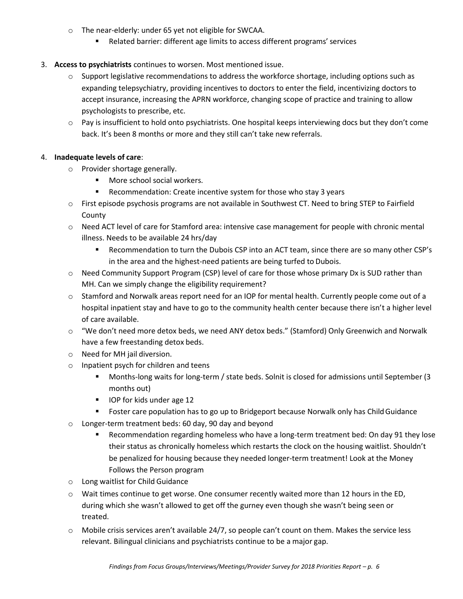- o The near-elderly: under 65 yet not eligible for SWCAA.
	- Related barrier: different age limits to access different programs' services

#### 3. **Access to psychiatrists** continues to worsen. Most mentioned issue.

- $\circ$  Support legislative recommendations to address the workforce shortage, including options such as expanding telepsychiatry, providing incentives to doctors to enter the field, incentivizing doctors to accept insurance, increasing the APRN workforce, changing scope of practice and training to allow psychologists to prescribe, etc.
- o Pay is insufficient to hold onto psychiatrists. One hospital keeps interviewing docs but they don't come back. It's been 8 months or more and they still can't take new referrals.

#### 4. **Inadequate levels of care**:

- o Provider shortage generally.
	- **Nore school social workers.**
	- Recommendation: Create incentive system for those who stay 3 years
- o First episode psychosis programs are not available in Southwest CT. Need to bring STEP to Fairfield **County**
- o Need ACT level of care for Stamford area: intensive case management for people with chronic mental illness. Needs to be available 24 hrs/day
	- Recommendation to turn the Dubois CSP into an ACT team, since there are so many other CSP's in the area and the highest-need patients are being turfed to Dubois.
- o Need Community Support Program (CSP) level of care for those whose primary Dx is SUD rather than MH. Can we simply change the eligibility requirement?
- $\circ$  Stamford and Norwalk areas report need for an IOP for mental health. Currently people come out of a hospital inpatient stay and have to go to the community health center because there isn't a higher level of care available.
- o "We don't need more detox beds, we need ANY detox beds." (Stamford) Only Greenwich and Norwalk have a few freestanding detox beds.
- o Need for MH jail diversion.
- o Inpatient psych for children and teens
	- Months-long waits for long-term / state beds. Solnit is closed for admissions until September (3 months out)
	- IOP for kids under age 12
	- **Figster Care population has to go up to Bridgeport because Norwalk only has Child Guidance**
- o Longer-term treatment beds: 60 day, 90 day and beyond
	- Recommendation regarding homeless who have a long-term treatment bed: On day 91 they lose their status as chronically homeless which restarts the clock on the housing waitlist. Shouldn't be penalized for housing because they needed longer-term treatment! Look at the Money Follows the Person program
- o Long waitlist for Child Guidance
- $\circ$  Wait times continue to get worse. One consumer recently waited more than 12 hours in the ED, during which she wasn't allowed to get off the gurney even though she wasn't being seen or treated.
- o Mobile crisis services aren't available 24/7, so people can't count on them. Makes the service less relevant. Bilingual clinicians and psychiatrists continue to be a major gap.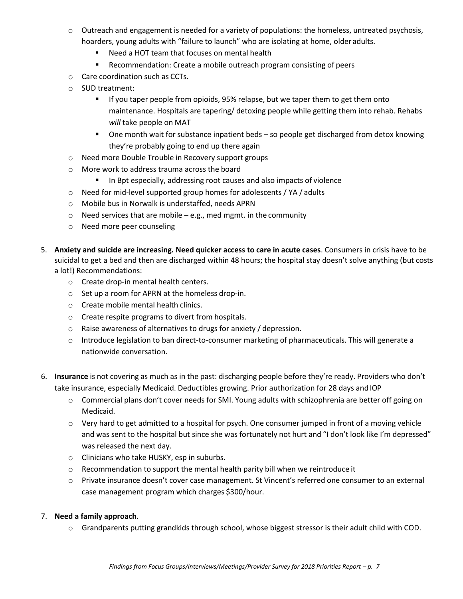- $\circ$  Outreach and engagement is needed for a variety of populations: the homeless, untreated psychosis, hoarders, young adults with "failure to launch" who are isolating at home, older adults.
	- Need a HOT team that focuses on mental health
	- **Recommendation: Create a mobile outreach program consisting of peers**
- o Care coordination such as CCTs.
- o SUD treatment:
	- **If you taper people from opioids, 95% relapse, but we taper them to get them onto** maintenance. Hospitals are tapering/ detoxing people while getting them into rehab. Rehabs *will* take people on MAT
	- One month wait for substance inpatient beds so people get discharged from detox knowing they're probably going to end up there again
- o Need more Double Trouble in Recovery support groups
- o More work to address trauma across the board
	- **IF In Bpt especially, addressing root causes and also impacts of violence**
- o Need for mid-level supported group homes for adolescents / YA / adults
- o Mobile bus in Norwalk is understaffed, needs APRN
- $\circ$  Need services that are mobile e.g., med mgmt. in the community
- o Need more peer counseling
- 5. **Anxiety and suicide are increasing. Need quicker access to care in acute cases**. Consumers in crisis have to be suicidal to get a bed and then are discharged within 48 hours; the hospital stay doesn't solve anything (but costs a lot!) Recommendations:
	- o Create drop-in mental health centers.
	- o Set up a room for APRN at the homeless drop-in.
	- o Create mobile mental health clinics.
	- o Create respite programs to divert from hospitals.
	- o Raise awareness of alternatives to drugs for anxiety / depression.
	- o Introduce legislation to ban direct-to-consumer marketing of pharmaceuticals. This will generate a nationwide conversation.
- 6. **Insurance** is not covering as much as in the past: discharging people before they're ready. Providers who don't take insurance, especially Medicaid. Deductibles growing. Prior authorization for 28 days and IOP
	- $\circ$  Commercial plans don't cover needs for SMI. Young adults with schizophrenia are better off going on Medicaid.
	- $\circ$  Very hard to get admitted to a hospital for psych. One consumer jumped in front of a moving vehicle and was sent to the hospital but since she was fortunately not hurt and "I don't look like I'm depressed" was released the next day.
	- o Clinicians who take HUSKY, esp in suburbs.
	- $\circ$  Recommendation to support the mental health parity bill when we reintroduce it
	- o Private insurance doesn't cover case management. St Vincent's referred one consumer to an external case management program which charges \$300/hour.

#### 7. **Need a family approach**.

o Grandparents putting grandkids through school, whose biggest stressor is their adult child with COD.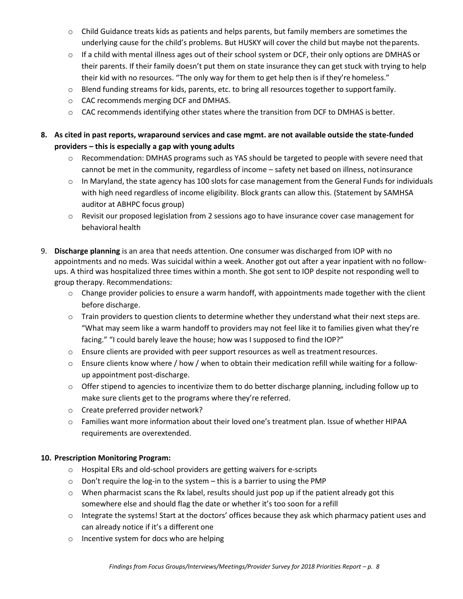- $\circ$  Child Guidance treats kids as patients and helps parents, but family members are sometimes the underlying cause for the child's problems. But HUSKY will cover the child but maybe not theparents.
- $\circ$  If a child with mental illness ages out of their school system or DCF, their only options are DMHAS or their parents. If their family doesn't put them on state insurance they can get stuck with trying to help their kid with no resources. "The only way for them to get help then is if they're homeless."
- $\circ$  Blend funding streams for kids, parents, etc. to bring all resources together to support family.
- o CAC recommends merging DCF and DMHAS.
- $\circ$  CAC recommends identifying other states where the transition from DCF to DMHAS is better.

#### **8. As cited in past reports, wraparound services and case mgmt. are not available outside the state-funded providers – this is especially a gap with young adults**

- o Recommendation: DMHAS programs such as YAS should be targeted to people with severe need that cannot be met in the community, regardless of income – safety net based on illness, notinsurance
- $\circ$  In Maryland, the state agency has 100 slots for case management from the General Funds for individuals with high need regardless of income eligibility. Block grants can allow this. (Statement by SAMHSA auditor at ABHPC focus group)
- o Revisit our proposed legislation from 2 sessions ago to have insurance cover case management for behavioral health
- 9. **Discharge planning** is an area that needs attention. One consumer was discharged from IOP with no appointments and no meds. Was suicidal within a week. Another got out after a year inpatient with no followups. A third was hospitalized three times within a month. She got sent to IOP despite not responding well to group therapy. Recommendations:
	- $\circ$  Change provider policies to ensure a warm handoff, with appointments made together with the client before discharge.
	- $\circ$  Train providers to question clients to determine whether they understand what their next steps are. "What may seem like a warm handoff to providers may not feel like it to families given what they're facing." "I could barely leave the house; how was I supposed to find the IOP?"
	- $\circ$  Ensure clients are provided with peer support resources as well as treatment resources.
	- $\circ$  Ensure clients know where / how / when to obtain their medication refill while waiting for a followup appointment post-discharge.
	- o Offer stipend to agencies to incentivize them to do better discharge planning, including follow up to make sure clients get to the programs where they're referred.
	- o Create preferred provider network?
	- o Families want more information about their loved one's treatment plan. Issue of whether HIPAA requirements are overextended.

#### **10. Prescription Monitoring Program:**

- o Hospital ERs and old-school providers are getting waivers for e-scripts
- o Don't require the log-in to the system this is a barrier to using the PMP
- $\circ$  When pharmacist scans the Rx label, results should just pop up if the patient already got this somewhere else and should flag the date or whether it's too soon for a refill
- $\circ$  Integrate the systems! Start at the doctors' offices because they ask which pharmacy patient uses and can already notice if it's a different one
- o Incentive system for docs who are helping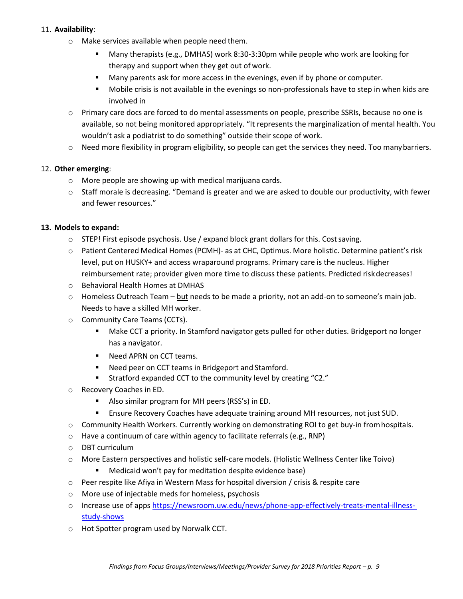#### 11. **Availability**:

- o Make services available when people need them.
	- Many therapists (e.g., DMHAS) work 8:30-3:30pm while people who work are looking for therapy and support when they get out of work.
	- **Many parents ask for more access in the evenings, even if by phone or computer.**
	- Mobile crisis is not available in the evenings so non-professionals have to step in when kids are involved in
- o Primary care docs are forced to do mental assessments on people, prescribe SSRIs, because no one is available, so not being monitored appropriately. "It represents the marginalization of mental health. You wouldn't ask a podiatrist to do something" outside their scope of work.
- o Need more flexibility in program eligibility, so people can get the services they need. Too manybarriers.

#### 12. **Other emerging**:

- o More people are showing up with medical marijuana cards.
- $\circ$  Staff morale is decreasing. "Demand is greater and we are asked to double our productivity, with fewer and fewer resources."

#### **13. Models to expand:**

- $\circ$  STEP! First episode psychosis. Use / expand block grant dollars for this. Cost saving.
- o Patient Centered Medical Homes (PCMH)- as at CHC, Optimus. More holistic. Determine patient's risk level, put on HUSKY+ and access wraparound programs. Primary care is the nucleus. Higher reimbursement rate; provider given more time to discuss these patients. Predicted riskdecreases!
- o Behavioral Health Homes at DMHAS
- $\circ$  Homeless Outreach Team but needs to be made a priority, not an add-on to someone's main job. Needs to have a skilled MH worker.
- o Community Care Teams (CCTs).
	- Make CCT a priority. In Stamford navigator gets pulled for other duties. Bridgeport no longer has a navigator.
	- Need APRN on CCT teams.
	- Need peer on CCT teams in Bridgeport and Stamford.
	- Stratford expanded CCT to the community level by creating "C2."
- o Recovery Coaches in ED.
	- Also similar program for MH peers (RSS's) in ED.
	- Ensure Recovery Coaches have adequate training around MH resources, not just SUD.
- o Community Health Workers. Currently working on demonstrating ROI to get buy-in fromhospitals.
- o Have a continuum of care within agency to facilitate referrals (e.g., RNP)
- o DBT curriculum
- o More Eastern perspectives and holistic self-care models. (Holistic Wellness Center like Toivo)
	- Medicaid won't pay for meditation despite evidence base)
- o Peer respite like Afiya in Western Mass for hospital diversion / crisis & respite care
- o More use of injectable meds for homeless, psychosis
- o Increase use of apps [https://newsroom.uw.edu/news/phone-app-effectively-treats-mental-illness](https://newsroom.uw.edu/news/phone-app-effectively-treats-mental-illness-study-shows)[study-shows](https://newsroom.uw.edu/news/phone-app-effectively-treats-mental-illness-study-shows)
- o Hot Spotter program used by Norwalk CCT.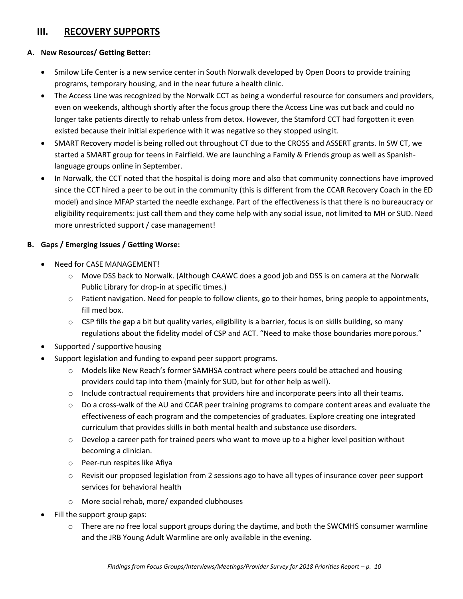### **III. RECOVERY SUPPORTS**

#### **A. New Resources/ Getting Better:**

- Smilow Life Center is a new service center in South Norwalk developed by Open Doors to provide training programs, temporary housing, and in the near future a health clinic.
- The Access Line was recognized by the Norwalk CCT as being a wonderful resource for consumers and providers, even on weekends, although shortly after the focus group there the Access Line was cut back and could no longer take patients directly to rehab unless from detox. However, the Stamford CCT had forgotten it even existed because their initial experience with it was negative so they stopped usingit.
- SMART Recovery model is being rolled out throughout CT due to the CROSS and ASSERT grants. In SW CT, we started a SMART group for teens in Fairfield. We are launching a Family & Friends group as well as Spanishlanguage groups online in September.
- In Norwalk, the CCT noted that the hospital is doing more and also that community connections have improved since the CCT hired a peer to be out in the community (this is different from the CCAR Recovery Coach in the ED model) and since MFAP started the needle exchange. Part of the effectiveness is that there is no bureaucracy or eligibility requirements: just call them and they come help with any social issue, not limited to MH or SUD. Need more unrestricted support / case management!

#### **B. Gaps / Emerging Issues / Getting Worse:**

- Need for CASE MANAGEMENT!
	- $\circ$  Move DSS back to Norwalk. (Although CAAWC does a good job and DSS is on camera at the Norwalk Public Library for drop-in at specific times.)
	- $\circ$  Patient navigation. Need for people to follow clients, go to their homes, bring people to appointments, fill med box.
	- $\circ$  CSP fills the gap a bit but quality varies, eligibility is a barrier, focus is on skills building, so many regulations about the fidelity model of CSP and ACT. "Need to make those boundaries moreporous."
- Supported / supportive housing
- Support legislation and funding to expand peer support programs.
	- o Models like New Reach's former SAMHSA contract where peers could be attached and housing providers could tap into them (mainly for SUD, but for other help as well).
	- $\circ$  Include contractual requirements that providers hire and incorporate peers into all their teams.
	- $\circ$  Do a cross-walk of the AU and CCAR peer training programs to compare content areas and evaluate the effectiveness of each program and the competencies of graduates. Explore creating one integrated curriculum that provides skills in both mental health and substance use disorders.
	- $\circ$  Develop a career path for trained peers who want to move up to a higher level position without becoming a clinician.
	- o Peer-run respites like Afiya
	- $\circ$  Revisit our proposed legislation from 2 sessions ago to have all types of insurance cover peer support services for behavioral health
	- o More social rehab, more/ expanded clubhouses
- Fill the support group gaps:
	- $\circ$  There are no free local support groups during the daytime, and both the SWCMHS consumer warmline and the JRB Young Adult Warmline are only available in the evening.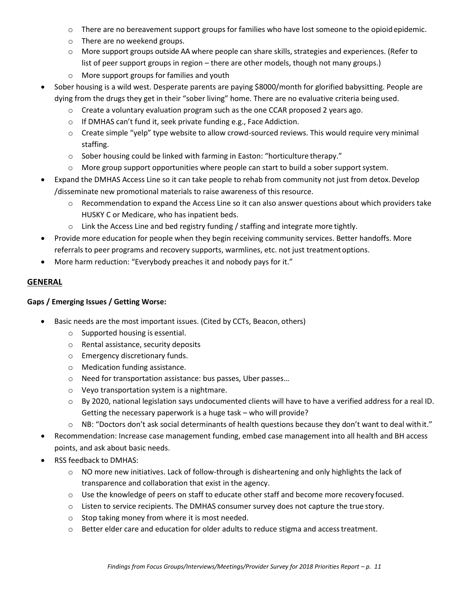- $\circ$  There are no bereavement support groups for families who have lost someone to the opioid epidemic.
- o There are no weekend groups.
- $\circ$  More support groups outside AA where people can share skills, strategies and experiences. (Refer to list of peer support groups in region – there are other models, though not many groups.)
- o More support groups for families and youth
- Sober housing is a wild west. Desperate parents are paying \$8000/month for glorified babysitting. People are dying from the drugs they get in their "sober living" home. There are no evaluative criteria beingused.
	- $\circ$  Create a voluntary evaluation program such as the one CCAR proposed 2 years ago.
	- o If DMHAS can't fund it, seek private funding e.g., Face Addiction.
	- o Create simple "yelp" type website to allow crowd-sourced reviews. This would require very minimal staffing.
	- o Sober housing could be linked with farming in Easton: "horticulture therapy."
	- $\circ$  More group support opportunities where people can start to build a sober support system.
- Expand the DMHAS Access Line so it can take people to rehab from community not just from detox.Develop /disseminate new promotional materials to raise awareness of this resource.
	- $\circ$  Recommendation to expand the Access Line so it can also answer questions about which providers take HUSKY C or Medicare, who has inpatient beds.
	- $\circ$  Link the Access Line and bed registry funding / staffing and integrate more tightly.
- Provide more education for people when they begin receiving community services. Better handoffs. More referrals to peer programs and recovery supports, warmlines, etc. not just treatmentoptions.
- More harm reduction: "Everybody preaches it and nobody pays for it."

#### **GENERAL**

#### **Gaps / Emerging Issues / Getting Worse:**

- Basic needs are the most important issues. (Cited by CCTs, Beacon, others)
	- o Supported housing is essential.
	- o Rental assistance, security deposits
	- o Emergency discretionary funds.
	- o Medication funding assistance.
	- o Need for transportation assistance: bus passes, Uber passes…
	- o Veyo transportation system is a nightmare.
	- $\circ$  By 2020, national legislation says undocumented clients will have to have a verified address for a real ID. Getting the necessary paperwork is a huge task – who will provide?
	- $\circ$  NB: "Doctors don't ask social determinants of health questions because they don't want to deal withit."
- Recommendation: Increase case management funding, embed case management into all health and BH access points, and ask about basic needs.
- RSS feedback to DMHAS:
	- $\circ$  NO more new initiatives. Lack of follow-through is disheartening and only highlights the lack of transparence and collaboration that exist in the agency.
	- o Use the knowledge of peers on staff to educate other staff and become more recovery focused.
	- o Listen to service recipients. The DMHAS consumer survey does not capture the true story.
	- o Stop taking money from where it is most needed.
	- $\circ$  Better elder care and education for older adults to reduce stigma and access treatment.